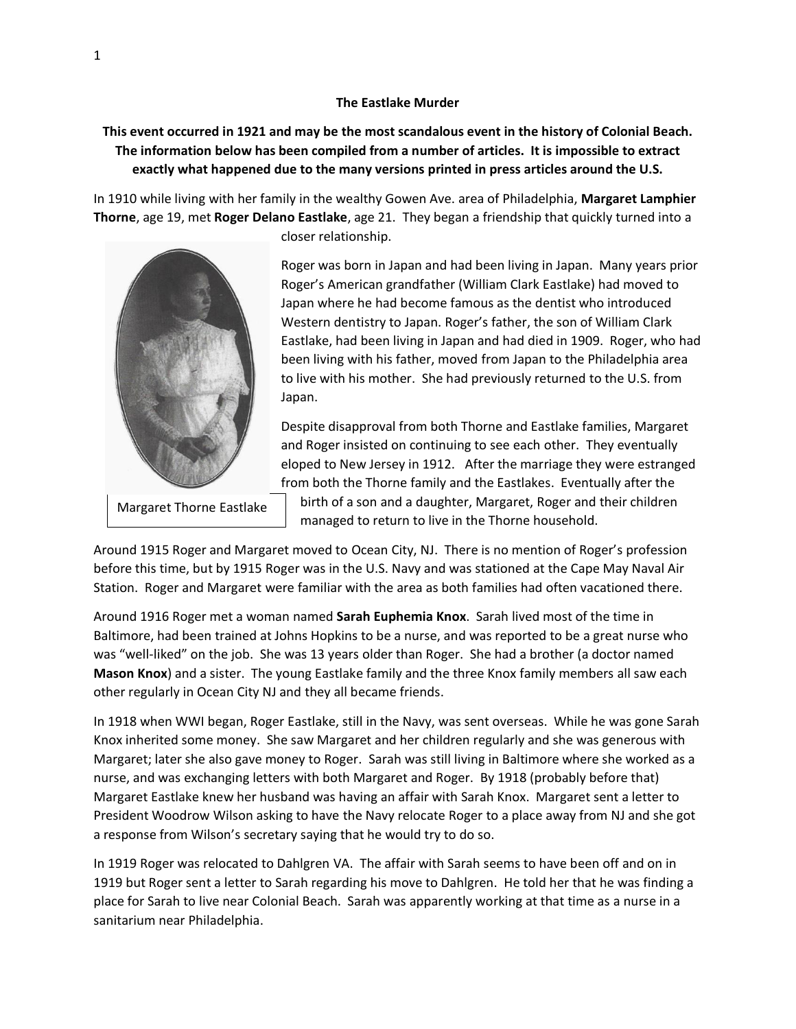## **The Eastlake Murder**

## **This event occurred in 1921 and may be the most scandalous event in the history of Colonial Beach. The information below has been compiled from a number of articles. It is impossible to extract exactly what happened due to the many versions printed in press articles around the U.S.**

In 1910 while living with her family in the wealthy Gowen Ave. area of Philadelphia, **Margaret Lamphier Thorne**, age 19, met **Roger Delano Eastlake**, age 21. They began a friendship that quickly turned into a



closer relationship.

Roger was born in Japan and had been living in Japan. Many years prior Roger's American grandfather (William Clark Eastlake) had moved to Japan where he had become famous as the dentist who introduced Western dentistry to Japan. Roger's father, the son of William Clark Eastlake, had been living in Japan and had died in 1909. Roger, who had been living with his father, moved from Japan to the Philadelphia area to live with his mother. She had previously returned to the U.S. from Japan.

Despite disapproval from both Thorne and Eastlake families, Margaret and Roger insisted on continuing to see each other. They eventually eloped to New Jersey in 1912. After the marriage they were estranged from both the Thorne family and the Eastlakes. Eventually after the

Margaret Thorne Eastlake

birth of a son and a daughter, Margaret, Roger and their children managed to return to live in the Thorne household.

Around 1915 Roger and Margaret moved to Ocean City, NJ. There is no mention of Roger's profession before this time, but by 1915 Roger was in the U.S. Navy and was stationed at the Cape May Naval Air Station. Roger and Margaret were familiar with the area as both families had often vacationed there.

Around 1916 Roger met a woman named **Sarah Euphemia Knox**. Sarah lived most of the time in Baltimore, had been trained at Johns Hopkins to be a nurse, and was reported to be a great nurse who was "well-liked" on the job. She was 13 years older than Roger. She had a brother (a doctor named **Mason Knox**) and a sister. The young Eastlake family and the three Knox family members all saw each other regularly in Ocean City NJ and they all became friends.

In 1918 when WWI began, Roger Eastlake, still in the Navy, was sent overseas. While he was gone Sarah Knox inherited some money. She saw Margaret and her children regularly and she was generous with Margaret; later she also gave money to Roger. Sarah was still living in Baltimore where she worked as a nurse, and was exchanging letters with both Margaret and Roger. By 1918 (probably before that) Margaret Eastlake knew her husband was having an affair with Sarah Knox. Margaret sent a letter to President Woodrow Wilson asking to have the Navy relocate Roger to a place away from NJ and she got a response from Wilson's secretary saying that he would try to do so.

In 1919 Roger was relocated to Dahlgren VA. The affair with Sarah seems to have been off and on in 1919 but Roger sent a letter to Sarah regarding his move to Dahlgren. He told her that he was finding a place for Sarah to live near Colonial Beach. Sarah was apparently working at that time as a nurse in a sanitarium near Philadelphia.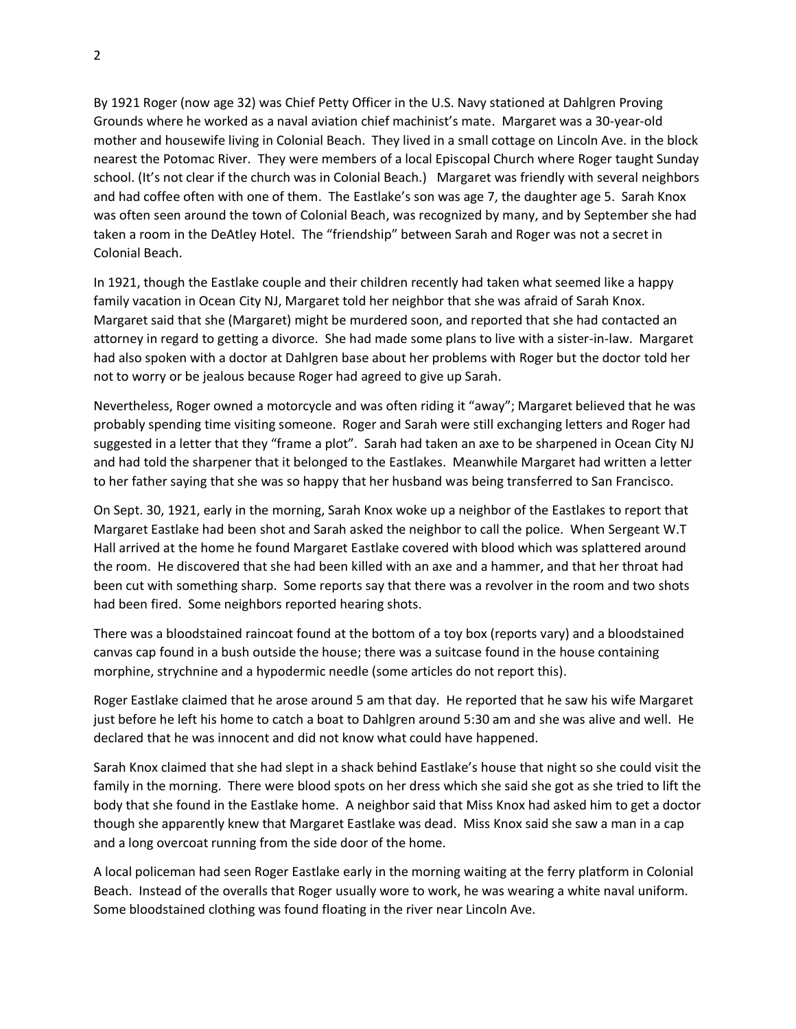By 1921 Roger (now age 32) was Chief Petty Officer in the U.S. Navy stationed at Dahlgren Proving Grounds where he worked as a naval aviation chief machinist's mate. Margaret was a 30-year-old mother and housewife living in Colonial Beach. They lived in a small cottage on Lincoln Ave. in the block nearest the Potomac River. They were members of a local Episcopal Church where Roger taught Sunday school. (It's not clear if the church was in Colonial Beach.) Margaret was friendly with several neighbors and had coffee often with one of them. The Eastlake's son was age 7, the daughter age 5. Sarah Knox was often seen around the town of Colonial Beach, was recognized by many, and by September she had taken a room in the DeAtley Hotel. The "friendship" between Sarah and Roger was not a secret in Colonial Beach.

In 1921, though the Eastlake couple and their children recently had taken what seemed like a happy family vacation in Ocean City NJ, Margaret told her neighbor that she was afraid of Sarah Knox. Margaret said that she (Margaret) might be murdered soon, and reported that she had contacted an attorney in regard to getting a divorce. She had made some plans to live with a sister-in-law. Margaret had also spoken with a doctor at Dahlgren base about her problems with Roger but the doctor told her not to worry or be jealous because Roger had agreed to give up Sarah.

Nevertheless, Roger owned a motorcycle and was often riding it "away"; Margaret believed that he was probably spending time visiting someone. Roger and Sarah were still exchanging letters and Roger had suggested in a letter that they "frame a plot". Sarah had taken an axe to be sharpened in Ocean City NJ and had told the sharpener that it belonged to the Eastlakes. Meanwhile Margaret had written a letter to her father saying that she was so happy that her husband was being transferred to San Francisco.

On Sept. 30, 1921, early in the morning, Sarah Knox woke up a neighbor of the Eastlakes to report that Margaret Eastlake had been shot and Sarah asked the neighbor to call the police. When Sergeant W.T Hall arrived at the home he found Margaret Eastlake covered with blood which was splattered around the room. He discovered that she had been killed with an axe and a hammer, and that her throat had been cut with something sharp. Some reports say that there was a revolver in the room and two shots had been fired. Some neighbors reported hearing shots.

There was a bloodstained raincoat found at the bottom of a toy box (reports vary) and a bloodstained canvas cap found in a bush outside the house; there was a suitcase found in the house containing morphine, strychnine and a hypodermic needle (some articles do not report this).

Roger Eastlake claimed that he arose around 5 am that day. He reported that he saw his wife Margaret just before he left his home to catch a boat to Dahlgren around 5:30 am and she was alive and well. He declared that he was innocent and did not know what could have happened.

Sarah Knox claimed that she had slept in a shack behind Eastlake's house that night so she could visit the family in the morning. There were blood spots on her dress which she said she got as she tried to lift the body that she found in the Eastlake home. A neighbor said that Miss Knox had asked him to get a doctor though she apparently knew that Margaret Eastlake was dead. Miss Knox said she saw a man in a cap and a long overcoat running from the side door of the home.

A local policeman had seen Roger Eastlake early in the morning waiting at the ferry platform in Colonial Beach. Instead of the overalls that Roger usually wore to work, he was wearing a white naval uniform. Some bloodstained clothing was found floating in the river near Lincoln Ave.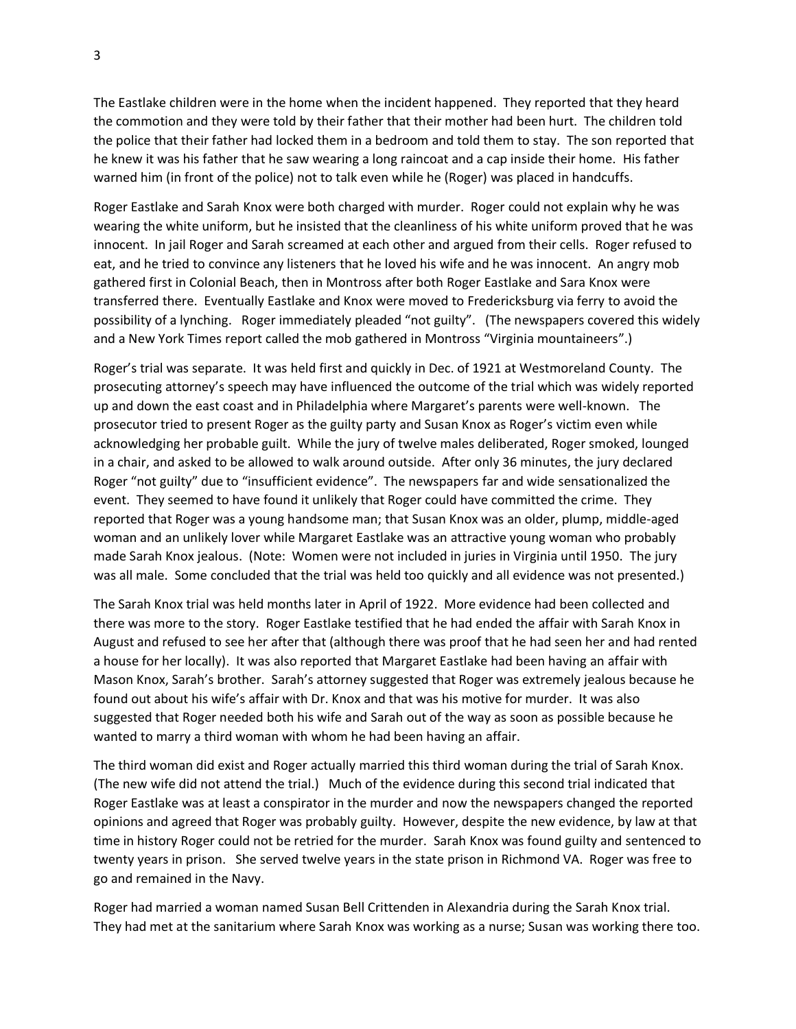The Eastlake children were in the home when the incident happened. They reported that they heard the commotion and they were told by their father that their mother had been hurt. The children told the police that their father had locked them in a bedroom and told them to stay. The son reported that he knew it was his father that he saw wearing a long raincoat and a cap inside their home. His father warned him (in front of the police) not to talk even while he (Roger) was placed in handcuffs.

Roger Eastlake and Sarah Knox were both charged with murder. Roger could not explain why he was wearing the white uniform, but he insisted that the cleanliness of his white uniform proved that he was innocent. In jail Roger and Sarah screamed at each other and argued from their cells. Roger refused to eat, and he tried to convince any listeners that he loved his wife and he was innocent. An angry mob gathered first in Colonial Beach, then in Montross after both Roger Eastlake and Sara Knox were transferred there. Eventually Eastlake and Knox were moved to Fredericksburg via ferry to avoid the possibility of a lynching. Roger immediately pleaded "not guilty". (The newspapers covered this widely and a New York Times report called the mob gathered in Montross "Virginia mountaineers".)

Roger's trial was separate. It was held first and quickly in Dec. of 1921 at Westmoreland County. The prosecuting attorney's speech may have influenced the outcome of the trial which was widely reported up and down the east coast and in Philadelphia where Margaret's parents were well-known. The prosecutor tried to present Roger as the guilty party and Susan Knox as Roger's victim even while acknowledging her probable guilt. While the jury of twelve males deliberated, Roger smoked, lounged in a chair, and asked to be allowed to walk around outside. After only 36 minutes, the jury declared Roger "not guilty" due to "insufficient evidence". The newspapers far and wide sensationalized the event. They seemed to have found it unlikely that Roger could have committed the crime. They reported that Roger was a young handsome man; that Susan Knox was an older, plump, middle-aged woman and an unlikely lover while Margaret Eastlake was an attractive young woman who probably made Sarah Knox jealous. (Note: Women were not included in juries in Virginia until 1950. The jury was all male. Some concluded that the trial was held too quickly and all evidence was not presented.)

The Sarah Knox trial was held months later in April of 1922. More evidence had been collected and there was more to the story. Roger Eastlake testified that he had ended the affair with Sarah Knox in August and refused to see her after that (although there was proof that he had seen her and had rented a house for her locally). It was also reported that Margaret Eastlake had been having an affair with Mason Knox, Sarah's brother. Sarah's attorney suggested that Roger was extremely jealous because he found out about his wife's affair with Dr. Knox and that was his motive for murder. It was also suggested that Roger needed both his wife and Sarah out of the way as soon as possible because he wanted to marry a third woman with whom he had been having an affair.

The third woman did exist and Roger actually married this third woman during the trial of Sarah Knox. (The new wife did not attend the trial.) Much of the evidence during this second trial indicated that Roger Eastlake was at least a conspirator in the murder and now the newspapers changed the reported opinions and agreed that Roger was probably guilty. However, despite the new evidence, by law at that time in history Roger could not be retried for the murder. Sarah Knox was found guilty and sentenced to twenty years in prison. She served twelve years in the state prison in Richmond VA. Roger was free to go and remained in the Navy.

Roger had married a woman named Susan Bell Crittenden in Alexandria during the Sarah Knox trial. They had met at the sanitarium where Sarah Knox was working as a nurse; Susan was working there too.